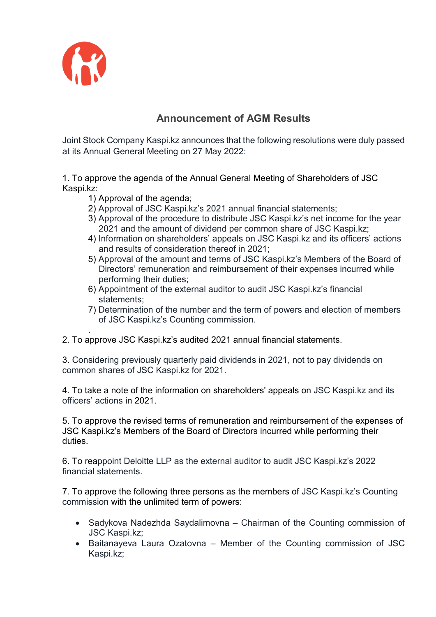

## **Announcement of AGM Results**

Joint Stock Company Kaspi.kz announces that the following resolutions were duly passed at its Annual General Meeting on 27 May 2022:

1. To approve the agenda of the Annual General Meeting of Shareholders of JSC Kaspi.kz:

- 1) Approval of the agenda;
- 2) Approval of JSC Kaspi.kz's 2021 annual financial statements;
- 3) Approval of the procedure to distribute JSC Kaspi.kz's net income for the year 2021 and the amount of dividend per common share of JSC Kaspi.kz;
- 4) Information on shareholders' appeals on JSC Kaspi.kz and its officers' actions and results of consideration thereof in 2021;
- 5) Approval of the amount and terms of JSC Kaspi.kz's Members of the Board of Directors' remuneration and reimbursement of their expenses incurred while performing their duties;
- 6) Appointment of the external auditor to audit JSC Kaspi.kz's financial statements;
- 7) Determination of the number and the term of powers and election of members of JSC Kaspi.kz's Counting commission.
- . 2. To approve JSC Kaspi.kz's audited 2021 annual financial statements.

3. Considering previously quarterly paid dividends in 2021, not to pay dividends on common shares of JSC Kaspi.kz for 2021.

4. To take a note of the information on shareholders' appeals on JSC Kaspi.kz and its officers' actions in 2021.

5. To approve the revised terms of remuneration and reimbursement of the expenses of JSC Kaspi.kz's Members of the Board of Directors incurred while performing their duties.

6. To reappoint Deloitte LLP as the external auditor to audit JSC Kaspi.kz's 2022 financial statements.

7. To approve the following three persons as the members of JSC Kaspi.kz's Counting commission with the unlimited term of powers:

- Sadykova Nadezhda Saydalimovna Chairman of the Counting commission of JSC Kaspi.kz;
- Baitanayeva Laura Ozatovna Member of the Counting commission of JSC Kaspi.kz;